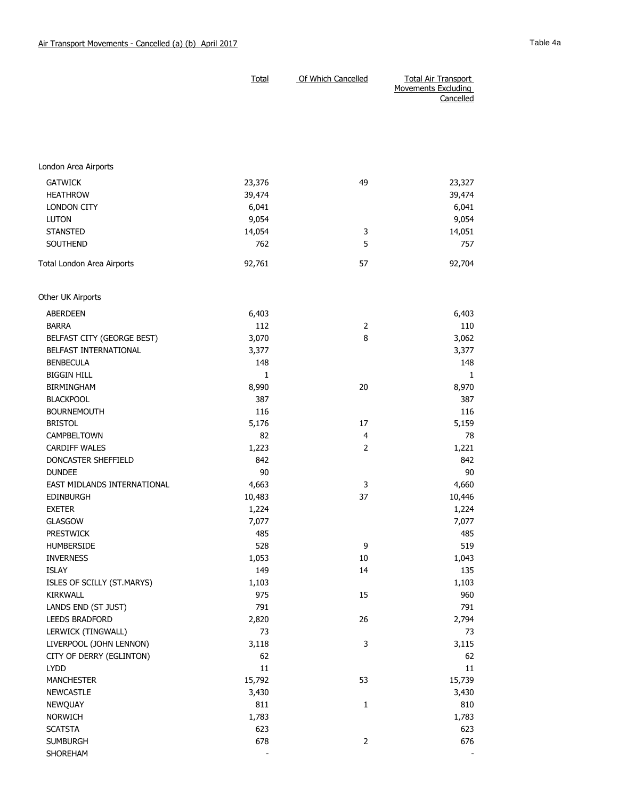|                             | <b>Total</b> | Of Which Cancelled | <b>Total Air Transport</b>              |
|-----------------------------|--------------|--------------------|-----------------------------------------|
|                             |              |                    | <b>Movements Excluding</b><br>Cancelled |
|                             |              |                    |                                         |
|                             |              |                    |                                         |
|                             |              |                    |                                         |
|                             |              |                    |                                         |
| London Area Airports        |              |                    |                                         |
| <b>GATWICK</b>              | 23,376       | 49                 | 23,327                                  |
| <b>HEATHROW</b>             | 39,474       |                    | 39,474                                  |
| <b>LONDON CITY</b>          | 6,041        |                    | 6,041                                   |
| <b>LUTON</b>                | 9,054        |                    | 9,054                                   |
| <b>STANSTED</b>             | 14,054       | 3                  | 14,051                                  |
| <b>SOUTHEND</b>             | 762          | 5                  | 757                                     |
|                             |              |                    |                                         |
| Total London Area Airports  | 92,761       | 57                 | 92,704                                  |
| Other UK Airports           |              |                    |                                         |
| <b>ABERDEEN</b>             | 6,403        |                    | 6,403                                   |
| <b>BARRA</b>                | 112          | 2                  | 110                                     |
| BELFAST CITY (GEORGE BEST)  | 3,070        | 8                  | 3,062                                   |
| BELFAST INTERNATIONAL       | 3,377        |                    | 3,377                                   |
| <b>BENBECULA</b>            | 148          |                    | 148                                     |
| <b>BIGGIN HILL</b>          | 1            |                    | 1                                       |
| <b>BIRMINGHAM</b>           | 8,990        | 20                 | 8,970                                   |
| <b>BLACKPOOL</b>            | 387          |                    | 387                                     |
| <b>BOURNEMOUTH</b>          | 116          |                    | 116                                     |
| <b>BRISTOL</b>              | 5,176        | 17                 | 5,159                                   |
| CAMPBELTOWN                 | 82           | 4                  | 78                                      |
| <b>CARDIFF WALES</b>        | 1,223        | $\overline{2}$     | 1,221                                   |
| DONCASTER SHEFFIELD         | 842          |                    | 842                                     |
| <b>DUNDEE</b>               | 90           |                    | 90                                      |
| EAST MIDLANDS INTERNATIONAL | 4,663        | 3                  | 4,660                                   |
| <b>EDINBURGH</b>            | 10,483       | 37                 | 10,446                                  |
| <b>EXETER</b>               | 1,224        |                    | 1,224                                   |
| <b>GLASGOW</b>              | 7,077        |                    | 7,077                                   |
| <b>PRESTWICK</b>            | 485          |                    | 485                                     |
| <b>HUMBERSIDE</b>           | 528          | 9                  | 519                                     |
| <b>INVERNESS</b>            | 1,053        | 10                 | 1,043                                   |
| <b>ISLAY</b>                | 149          | 14                 | 135                                     |
| ISLES OF SCILLY (ST.MARYS)  | 1,103        |                    | 1,103                                   |
| KIRKWALL                    | 975          | 15                 | 960                                     |
| LANDS END (ST JUST)         | 791          |                    | 791                                     |
| LEEDS BRADFORD              | 2,820        | 26                 | 2,794                                   |
| LERWICK (TINGWALL)          | 73           |                    | 73                                      |
| LIVERPOOL (JOHN LENNON)     | 3,118        | 3                  | 3,115                                   |
| CITY OF DERRY (EGLINTON)    | 62           |                    | 62                                      |
| <b>LYDD</b>                 | 11           |                    | 11                                      |
| <b>MANCHESTER</b>           | 15,792       | 53                 | 15,739                                  |
| <b>NEWCASTLE</b>            | 3,430        |                    | 3,430                                   |
| NEWQUAY                     | 811          | $\mathbf{1}$       | 810                                     |
| <b>NORWICH</b>              | 1,783        |                    | 1,783                                   |
| <b>SCATSTA</b>              | 623          |                    | 623                                     |
| <b>SUMBURGH</b>             | 678          | $\overline{2}$     | 676                                     |
| SHOREHAM                    |              |                    |                                         |